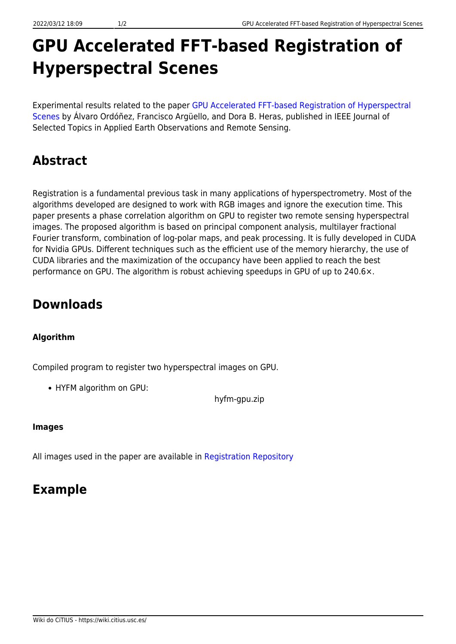# **GPU Accelerated FFT-based Registration of Hyperspectral Scenes**

Experimental results related to the paper [GPU Accelerated FFT-based Registration of Hyperspectral](https://doi.org/10.1109/JSTARS.2017.2734052) [Scenes](https://doi.org/10.1109/JSTARS.2017.2734052) by Álvaro Ordóñez, Francisco Argüello, and Dora B. Heras, published in IEEE Journal of Selected Topics in Applied Earth Observations and Remote Sensing.

# **Abstract**

Registration is a fundamental previous task in many applications of hyperspectrometry. Most of the algorithms developed are designed to work with RGB images and ignore the execution time. This paper presents a phase correlation algorithm on GPU to register two remote sensing hyperspectral images. The proposed algorithm is based on principal component analysis, multilayer fractional Fourier transform, combination of log-polar maps, and peak processing. It is fully developed in CUDA for Nvidia GPUs. Different techniques such as the efficient use of the memory hierarchy, the use of CUDA libraries and the maximization of the occupancy have been applied to reach the best performance on GPU. The algorithm is robust achieving speedups in GPU of up to 240.6×.

# **Downloads**

#### **Algorithm**

Compiled program to register two hyperspectral images on GPU.

HYFM algorithm on GPU:

hyfm-gpu.zip

#### **Images**

All images used in the paper are available in [Registration Repository](https://gitlab.citius.usc.es/hiperespectral/RegistrationRepository)

### **Example**